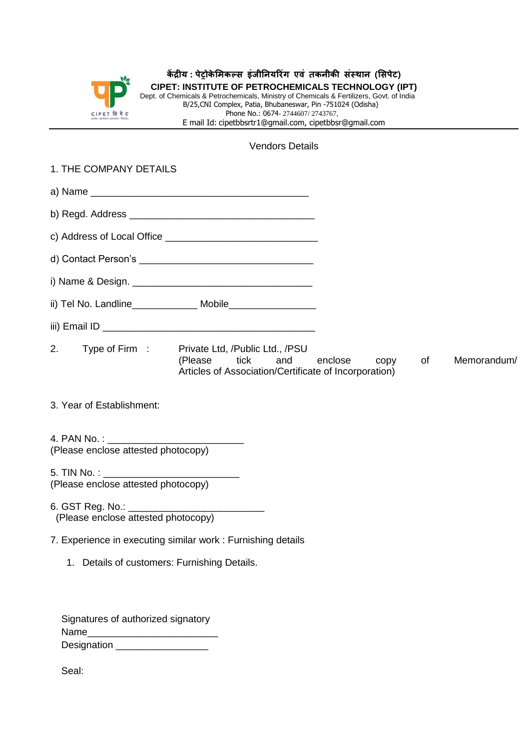

## **कें द्रीय : पेट्रोके मिकल्स इंजीनियर ंग एवं तकिीकी संस्थाि (मसपेट) CIPET: INSTITUTE OF PETROCHEMICALS TECHNOLOGY (IPT)**

Dept. of Chemicals & Petrochemicals, Ministry of Chemicals & Fertilizers, Govt. of India B/25,CNI Complex, Patia, Bhubaneswar, Pin -751024 (Odisha) Phone No.: 0674-2744607/2743767, E mail Id: cipetbbsrtr1@gmail.com, cipetbbsr@gmail.com

## Vendors Details

| 1. THE COMPANY DETAILS                                               |                                                                                                                                       |         |  |             |  |
|----------------------------------------------------------------------|---------------------------------------------------------------------------------------------------------------------------------------|---------|--|-------------|--|
|                                                                      |                                                                                                                                       |         |  |             |  |
|                                                                      |                                                                                                                                       |         |  |             |  |
|                                                                      |                                                                                                                                       |         |  |             |  |
|                                                                      |                                                                                                                                       |         |  |             |  |
|                                                                      |                                                                                                                                       |         |  |             |  |
|                                                                      |                                                                                                                                       |         |  |             |  |
|                                                                      |                                                                                                                                       |         |  |             |  |
|                                                                      | 2. Type of Firm: Private Ltd, /Public Ltd., /PSU<br>(Please tick and enclose<br>Articles of Association/Certificate of Incorporation) | copy of |  | Memorandum/ |  |
| 3. Year of Establishment:                                            |                                                                                                                                       |         |  |             |  |
|                                                                      |                                                                                                                                       |         |  |             |  |
| (Please enclose attested photocopy)                                  |                                                                                                                                       |         |  |             |  |
| 5. TIN No. : ________________<br>(Please enclose attested photocopy) |                                                                                                                                       |         |  |             |  |
|                                                                      |                                                                                                                                       |         |  |             |  |

6. GST Reg. No.: (Please enclose attested photocopy)

- 7. Experience in executing similar work : Furnishing details
	- 1. Details of customers: Furnishing Details.

|             | Signatures of authorized signatory |
|-------------|------------------------------------|
| Name        |                                    |
| Designation |                                    |

Seal: